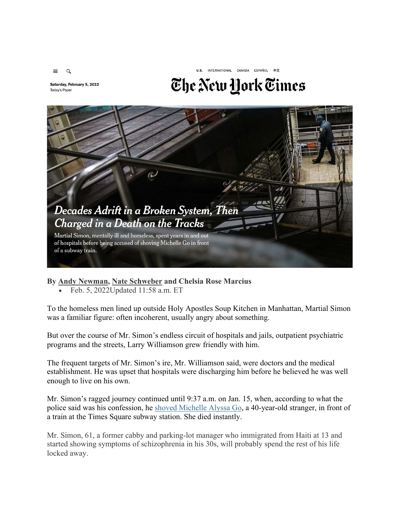

Saturday, February 5, 2022 Today's Paper

## The New York Times

U.S. INTERNATIONAL CANADA ESPAÑOL 中文



**By Andy Newman, Nate Schweber and Chelsia Rose Marcius** 

• Feb. 5, 2022Updated 11:58 a.m. ET

To the homeless men lined up outside Holy Apostles Soup Kitchen in Manhattan, Martial Simon was a familiar figure: often incoherent, usually angry about something.

But over the course of Mr. Simon's endless circuit of hospitals and jails, outpatient psychiatric programs and the streets, Larry Williamson grew friendly with him.

The frequent targets of Mr. Simon's ire, Mr. Williamson said, were doctors and the medical establishment. He was upset that hospitals were discharging him before he believed he was well enough to live on his own.

Mr. Simon's ragged journey continued until 9:37 a.m. on Jan. 15, when, according to what the police said was his confession, he shoved Michelle Alyssa Go, a 40-year-old stranger, in front of a train at the Times Square subway station. She died instantly.

Mr. Simon, 61, a former cabby and parking-lot manager who immigrated from Haiti at 13 and started showing symptoms of schizophrenia in his 30s, will probably spend the rest of his life locked away.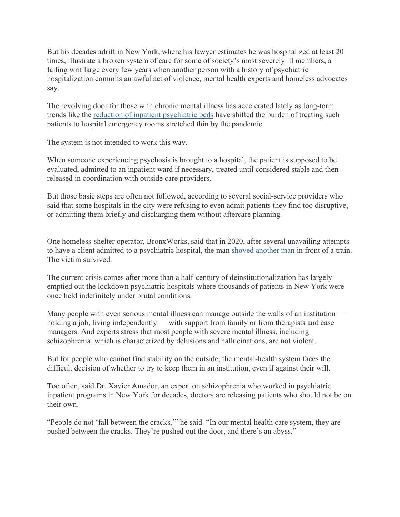But his decades adrift in New York, where his lawyer estimates he was hospitalized at least 20 times, illustrate a broken system of care for some of society's most severely ill members, a failing writ large every few years when another person with a history of psychiatric hospitalization commits an awful act of violence, mental health experts and homeless advocates say.

The revolving door for those with chronic mental illness has accelerated lately as long-term trends like the reduction of inpatient psychiatric beds have shifted the burden of treating such patients to hospital emergency rooms stretched thin by the pandemic.

The system is not intended to work this way.

When someone experiencing psychosis is brought to a hospital, the patient is supposed to be evaluated, admitted to an inpatient ward if necessary, treated until considered stable and then released in coordination with outside care providers.

But those basic steps are often not followed, according to several social-service providers who said that some hospitals in the city were refusing to even admit patients they find too disruptive, or admitting them briefly and discharging them without aftercare planning.

One homeless-shelter operator, BronxWorks, said that in 2020, after several unavailing attempts to have a client admitted to a psychiatric hospital, the man shoved another man in front of a train. The victim survived.

The current crisis comes after more than a half-century of deinstitutionalization has largely emptied out the lockdown psychiatric hospitals where thousands of patients in New York were once held indefinitely under brutal conditions.

Many people with even serious mental illness can manage outside the walls of an institution holding a job, living independently — with support from family or from therapists and case managers. And experts stress that most people with severe mental illness, including schizophrenia, which is characterized by delusions and hallucinations, are not violent.

But for people who cannot find stability on the outside, the mental-health system faces the difficult decision of whether to try to keep them in an institution, even if against their will.

Too often, said Dr. Xavier Amador, an expert on schizophrenia who worked in psychiatric inpatient programs in New York for decades, doctors are releasing patients who should not be on their own.

"People do not 'fall between the cracks,'" he said. "In our mental health care system, they are pushed between the cracks. They're pushed out the door, and there's an abyss."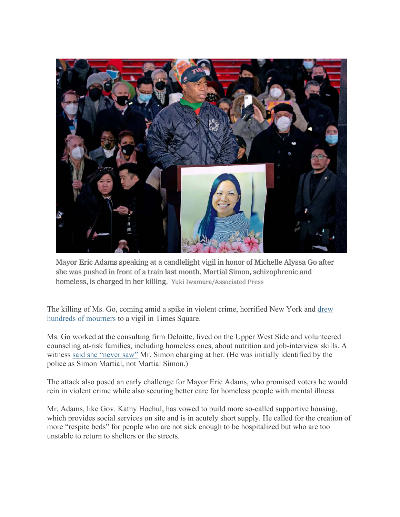

Mayor Eric Adams speaking at a candlelight vigil in honor of Michelle Alyssa Go after she was pushed in front of a train last month. Martial Simon, schizophrenic and homeless, is charged in her killing. Yuki Iwamura/Associated Press

The killing of Ms. Go, coming amid a spike in violent crime, horrified New York and drew hundreds of mourners to a vigil in Times Square.

Ms. Go worked at the consulting firm Deloitte, lived on the Upper West Side and volunteered counseling at-risk families, including homeless ones, about nutrition and job-interview skills. A witness said she "never saw" Mr. Simon charging at her. (He was initially identified by the police as Simon Martial, not Martial Simon.)

The attack also posed an early challenge for Mayor Eric Adams, who promised voters he would rein in violent crime while also securing better care for homeless people with mental illness

Mr. Adams, like Gov. Kathy Hochul, has vowed to build more so-called supportive housing, which provides social services on site and is in acutely short supply. He called for the creation of more "respite beds" for people who are not sick enough to be hospitalized but who are too unstable to return to shelters or the streets.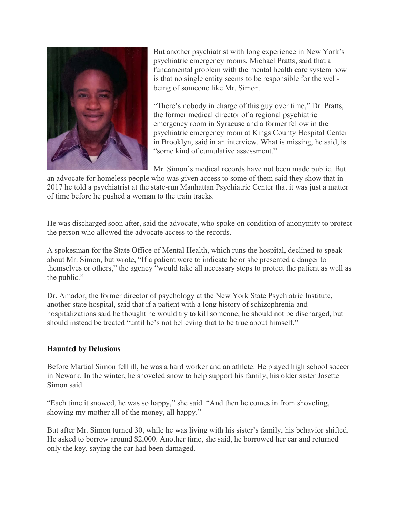

But another psychiatrist with long experience in New York's psychiatric emergency rooms, Michael Pratts, said that a fundamental problem with the mental health care system now is that no single entity seems to be responsible for the wellbeing of someone like Mr. Simon.

"There's nobody in charge of this guy over time," Dr. Pratts, the former medical director of a regional psychiatric emergency room in Syracuse and a former fellow in the psychiatric emergency room at Kings County Hospital Center in Brooklyn, said in an interview. What is missing, he said, is "some kind of cumulative assessment."

Mr. Simon's medical records have not been made public. But

an advocate for homeless people who was given access to some of them said they show that in 2017 he told a psychiatrist at the state-run Manhattan Psychiatric Center that it was just a matter of time before he pushed a woman to the train tracks.

He was discharged soon after, said the advocate, who spoke on condition of anonymity to protect the person who allowed the advocate access to the records.

A spokesman for the State Office of Mental Health, which runs the hospital, declined to speak about Mr. Simon, but wrote, "If a patient were to indicate he or she presented a danger to themselves or others," the agency "would take all necessary steps to protect the patient as well as the public."

Dr. Amador, the former director of psychology at the New York State Psychiatric Institute, another state hospital, said that if a patient with a long history of schizophrenia and hospitalizations said he thought he would try to kill someone, he should not be discharged, but should instead be treated "until he's not believing that to be true about himself."

## **Haunted by Delusions**

Before Martial Simon fell ill, he was a hard worker and an athlete. He played high school soccer in Newark. In the winter, he shoveled snow to help support his family, his older sister Josette Simon said.

"Each time it snowed, he was so happy," she said. "And then he comes in from shoveling, showing my mother all of the money, all happy."

But after Mr. Simon turned 30, while he was living with his sister's family, his behavior shifted. He asked to borrow around \$2,000. Another time, she said, he borrowed her car and returned only the key, saying the car had been damaged.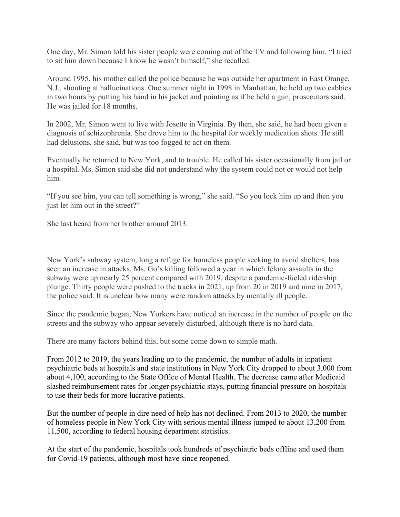One day, Mr. Simon told his sister people were coming out of the TV and following him. "I tried to sit him down because I know he wasn't himself," she recalled.

Around 1995, his mother called the police because he was outside her apartment in East Orange, N.J., shouting at hallucinations. One summer night in 1998 in Manhattan, he held up two cabbies in two hours by putting his hand in his jacket and pointing as if he held a gun, prosecutors said. He was jailed for 18 months.

In 2002, Mr. Simon went to live with Josette in Virginia. By then, she said, he had been given a diagnosis of schizophrenia. She drove him to the hospital for weekly medication shots. He still had delusions, she said, but was too fogged to act on them.

Eventually he returned to New York, and to trouble. He called his sister occasionally from jail or a hospital. Ms. Simon said she did not understand why the system could not or would not help him.

"If you see him, you can tell something is wrong," she said. "So you lock him up and then you just let him out in the street?"

She last heard from her brother around 2013.

New York's subway system, long a refuge for homeless people seeking to avoid shelters, has seen an increase in attacks. Ms. Go's killing followed a year in which felony assaults in the subway were up nearly 25 percent compared with 2019, despite a pandemic-fueled ridership plunge. Thirty people were pushed to the tracks in 2021, up from 20 in 2019 and nine in 2017, the police said. It is unclear how many were random attacks by mentally ill people.

Since the pandemic began, New Yorkers have noticed an increase in the number of people on the streets and the subway who appear severely disturbed, although there is no hard data.

There are many factors behind this, but some come down to simple math.

From 2012 to 2019, the years leading up to the pandemic, the number of adults in inpatient psychiatric beds at hospitals and state institutions in New York City dropped to about 3,000 from about 4,100, according to the State Office of Mental Health. The decrease came after Medicaid slashed reimbursement rates for longer psychiatric stays, putting financial pressure on hospitals to use their beds for more lucrative patients.

But the number of people in dire need of help has not declined. From 2013 to 2020, the number of homeless people in New York City with serious mental illness jumped to about 13,200 from 11,500, according to federal housing department statistics.

At the start of the pandemic, hospitals took hundreds of psychiatric beds offline and used them for Covid-19 patients, although most have since reopened.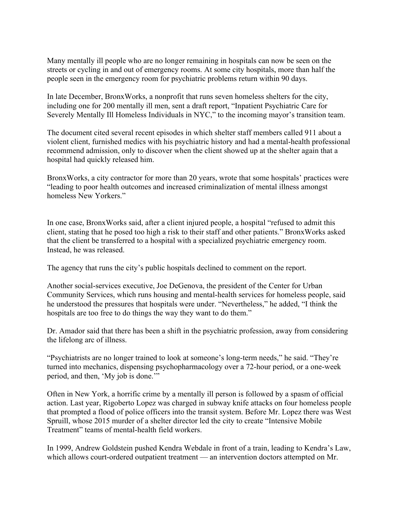Many mentally ill people who are no longer remaining in hospitals can now be seen on the streets or cycling in and out of emergency rooms. At some city hospitals, more than half the people seen in the emergency room for psychiatric problems return within 90 days.

In late December, BronxWorks, a nonprofit that runs seven homeless shelters for the city, including one for 200 mentally ill men, sent a draft report, "Inpatient Psychiatric Care for Severely Mentally Ill Homeless Individuals in NYC," to the incoming mayor's transition team.

The document cited several recent episodes in which shelter staff members called 911 about a violent client, furnished medics with his psychiatric history and had a mental-health professional recommend admission, only to discover when the client showed up at the shelter again that a hospital had quickly released him.

BronxWorks, a city contractor for more than 20 years, wrote that some hospitals' practices were "leading to poor health outcomes and increased criminalization of mental illness amongst homeless New Yorkers."

In one case, BronxWorks said, after a client injured people, a hospital "refused to admit this client, stating that he posed too high a risk to their staff and other patients." BronxWorks asked that the client be transferred to a hospital with a specialized psychiatric emergency room. Instead, he was released.

The agency that runs the city's public hospitals declined to comment on the report.

Another social-services executive, Joe DeGenova, the president of the Center for Urban Community Services, which runs housing and mental-health services for homeless people, said he understood the pressures that hospitals were under. "Nevertheless," he added, "I think the hospitals are too free to do things the way they want to do them."

Dr. Amador said that there has been a shift in the psychiatric profession, away from considering the lifelong arc of illness.

"Psychiatrists are no longer trained to look at someone's long-term needs," he said. "They're turned into mechanics, dispensing psychopharmacology over a 72-hour period, or a one-week period, and then, 'My job is done.'"

Often in New York, a horrific crime by a mentally ill person is followed by a spasm of official action. Last year, Rigoberto Lopez was charged in subway knife attacks on four homeless people that prompted a flood of police officers into the transit system. Before Mr. Lopez there was West Spruill, whose 2015 murder of a shelter director led the city to create "Intensive Mobile Treatment" teams of mental-health field workers.

In 1999, Andrew Goldstein pushed Kendra Webdale in front of a train, leading to Kendra's Law, which allows court-ordered outpatient treatment — an intervention doctors attempted on Mr.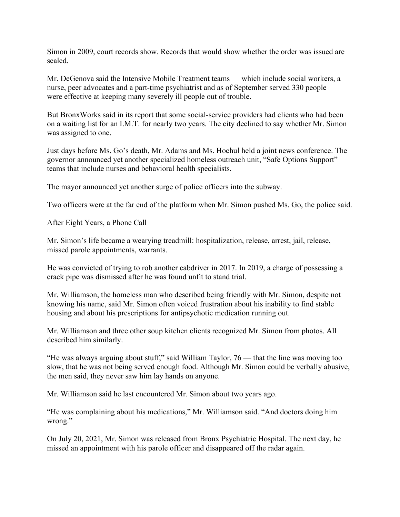Simon in 2009, court records show. Records that would show whether the order was issued are sealed.

Mr. DeGenova said the Intensive Mobile Treatment teams — which include social workers, a nurse, peer advocates and a part-time psychiatrist and as of September served 330 people were effective at keeping many severely ill people out of trouble.

But BronxWorks said in its report that some social-service providers had clients who had been on a waiting list for an I.M.T. for nearly two years. The city declined to say whether Mr. Simon was assigned to one.

Just days before Ms. Go's death, Mr. Adams and Ms. Hochul held a joint news conference. The governor announced yet another specialized homeless outreach unit, "Safe Options Support" teams that include nurses and behavioral health specialists.

The mayor announced yet another surge of police officers into the subway.

Two officers were at the far end of the platform when Mr. Simon pushed Ms. Go, the police said.

After Eight Years, a Phone Call

Mr. Simon's life became a wearying treadmill: hospitalization, release, arrest, jail, release, missed parole appointments, warrants.

He was convicted of trying to rob another cabdriver in 2017. In 2019, a charge of possessing a crack pipe was dismissed after he was found unfit to stand trial.

Mr. Williamson, the homeless man who described being friendly with Mr. Simon, despite not knowing his name, said Mr. Simon often voiced frustration about his inability to find stable housing and about his prescriptions for antipsychotic medication running out.

Mr. Williamson and three other soup kitchen clients recognized Mr. Simon from photos. All described him similarly.

"He was always arguing about stuff," said William Taylor, 76 — that the line was moving too slow, that he was not being served enough food. Although Mr. Simon could be verbally abusive, the men said, they never saw him lay hands on anyone.

Mr. Williamson said he last encountered Mr. Simon about two years ago.

"He was complaining about his medications," Mr. Williamson said. "And doctors doing him wrong."

On July 20, 2021, Mr. Simon was released from Bronx Psychiatric Hospital. The next day, he missed an appointment with his parole officer and disappeared off the radar again.